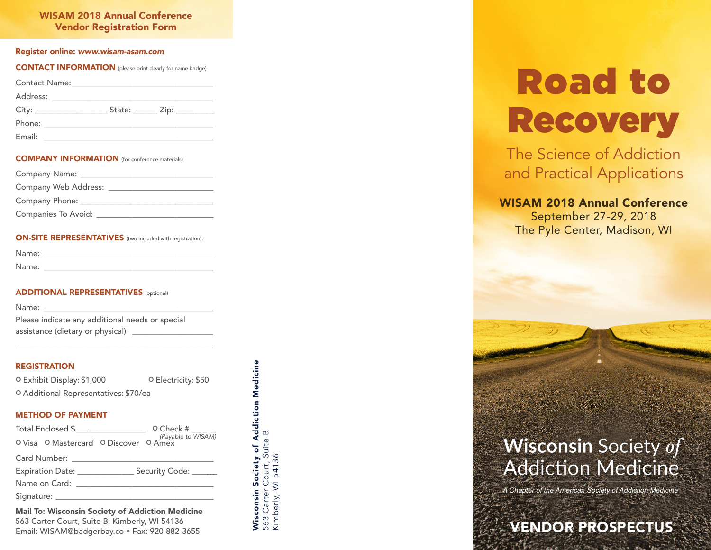#### WISAM 2018 Annual Conference Vendor Registration Form

CONTACT INFORMATION (please print clearly for name badge)

| City: <b>City:</b> | State: <u>______</u> Zip: _________ |  |
|--------------------|-------------------------------------|--|
| Phone:             |                                     |  |
| Email:             |                                     |  |

#### COMPANY INFORMATION (for conference materials)

| Company Name:        |  |  |
|----------------------|--|--|
| Company Web Address: |  |  |
| Company Phone:       |  |  |
| Companies To Avoid:  |  |  |

#### ON-SITE REPRESENTATIVES (two included with registration):

| Name: |  |
|-------|--|
| Name: |  |

#### ADDITIONAL REPRESENTATIVES (optional)

| Name:                                           |
|-------------------------------------------------|
| Please indicate any additional needs or special |
| assistance (dietary or physical)                |

\_\_\_\_\_\_\_\_\_\_\_\_\_\_\_\_\_\_\_\_\_\_\_\_\_\_\_\_\_\_\_\_\_\_\_\_\_\_\_\_\_\_\_\_

#### **REGISTRATION**

o Exhibit Display: \$1,000 o Electricity: \$50 o Additional Representatives: \$70/ea

#### METHOD OF PAYMENT

|                                                         | Total Enclosed \$                     |  | $O$ Check # $\_\_\_\_\_\_\_\_\_\_\_\_$<br>(Payable to WISAM) |  |
|---------------------------------------------------------|---------------------------------------|--|--------------------------------------------------------------|--|
|                                                         | O Visa O Mastercard O Discover O Amex |  |                                                              |  |
|                                                         |                                       |  |                                                              |  |
|                                                         |                                       |  |                                                              |  |
|                                                         |                                       |  |                                                              |  |
|                                                         |                                       |  |                                                              |  |
| <b>Mail To: Wisconsin Society of Addiction Medicine</b> |                                       |  |                                                              |  |

563 Carter Court, Suite B, Kimberly, WI 54136 Email: WISAM@badgerbay.co • Fax: 920-882-3655 **Wisconsin Society of Addiction Medicine**<br>563 Carter Court, Suite B<br>Kimberly, WI 54136 Wisconsin Society of Addiction Medicine 563 Carter Court, Suite B

Kimberly, WI 54136

# Road to Recovery

The Science of Addiction and Practical Applications

#### WISAM 2018 Annual Conference

September 27-29, 2018 The Pyle Center, Madison, WI

## **Wisconsin Society of Addiction Medicine**

*A Chapter of the American Society of Addiction Medicine*

### VENDOR PROSPECTUS